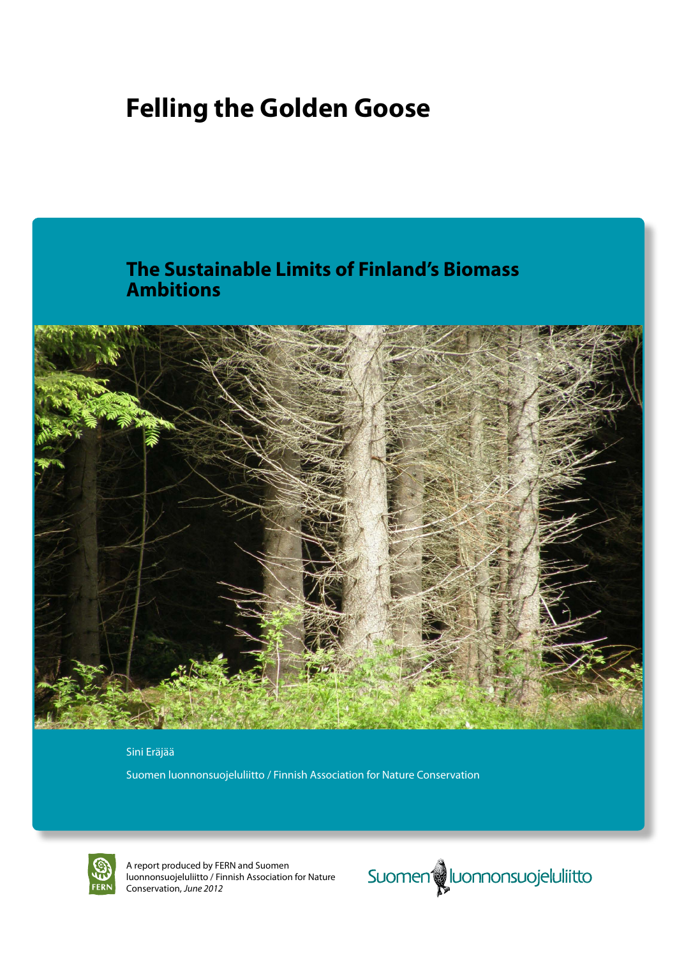# **Felling the Golden Goose**



### Sini Eräjää

Suomen luonnonsuojeluliitto / Finnish Association for Nature Conservation



A report produced by FERN and Suomen luonnonsuojeluliitto / Finnish Association for Nature Conservation, *June 2012*

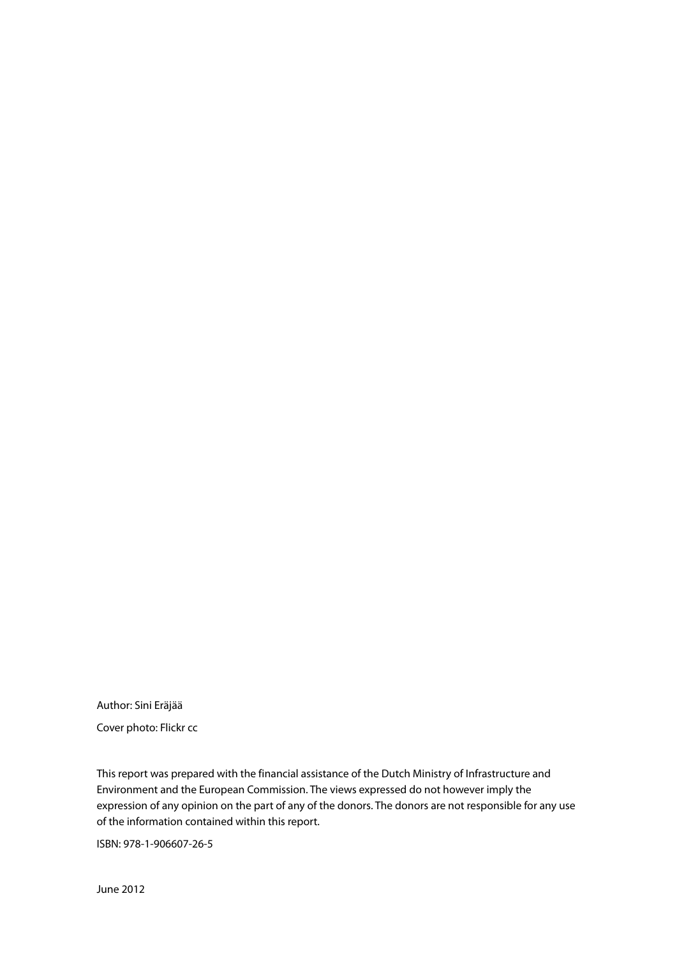Author: Sini Eräjää

Cover photo: Flickr cc

This report was prepared with the financial assistance of the Dutch Ministry of Infrastructure and Environment and the European Commission. The views expressed do not however imply the expression of any opinion on the part of any of the donors. The donors are not responsible for any use of the information contained within this report.

ISBN: 978-1-906607-26-5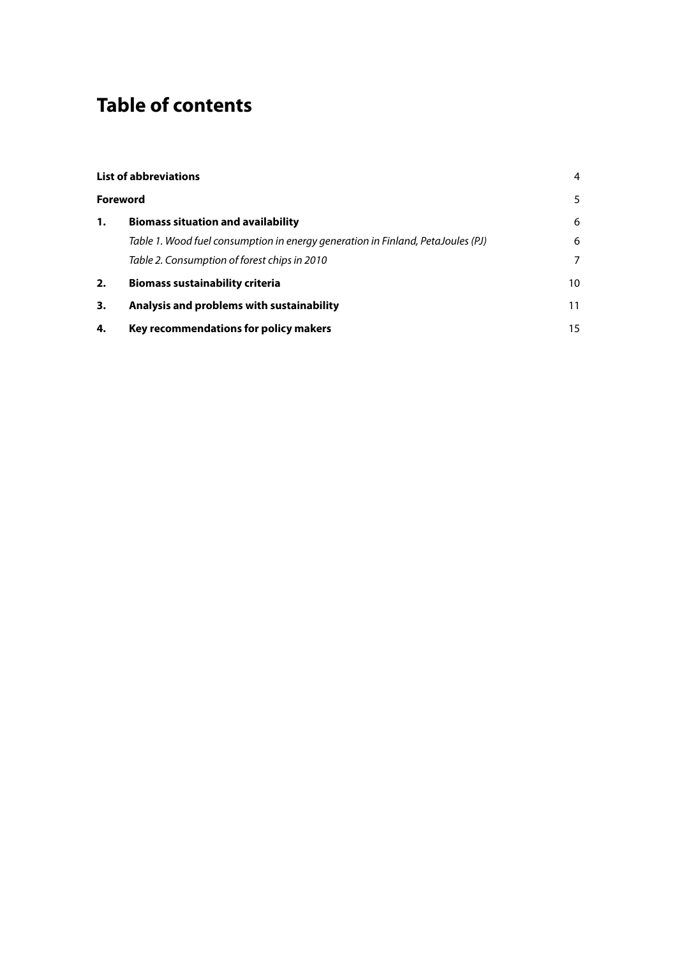# **Table of contents**

| <b>List of abbreviations</b> |                                                                                 | 4  |
|------------------------------|---------------------------------------------------------------------------------|----|
|                              | <b>Foreword</b>                                                                 | 5  |
| 1.                           | <b>Biomass situation and availability</b>                                       | 6  |
|                              | Table 1. Wood fuel consumption in energy generation in Finland, PetaJoules (PJ) | 6  |
|                              | Table 2. Consumption of forest chips in 2010                                    | 7  |
| 2.                           | <b>Biomass sustainability criteria</b>                                          | 10 |
| 3.                           | Analysis and problems with sustainability                                       | 11 |
| 4.                           | Key recommendations for policy makers                                           | 15 |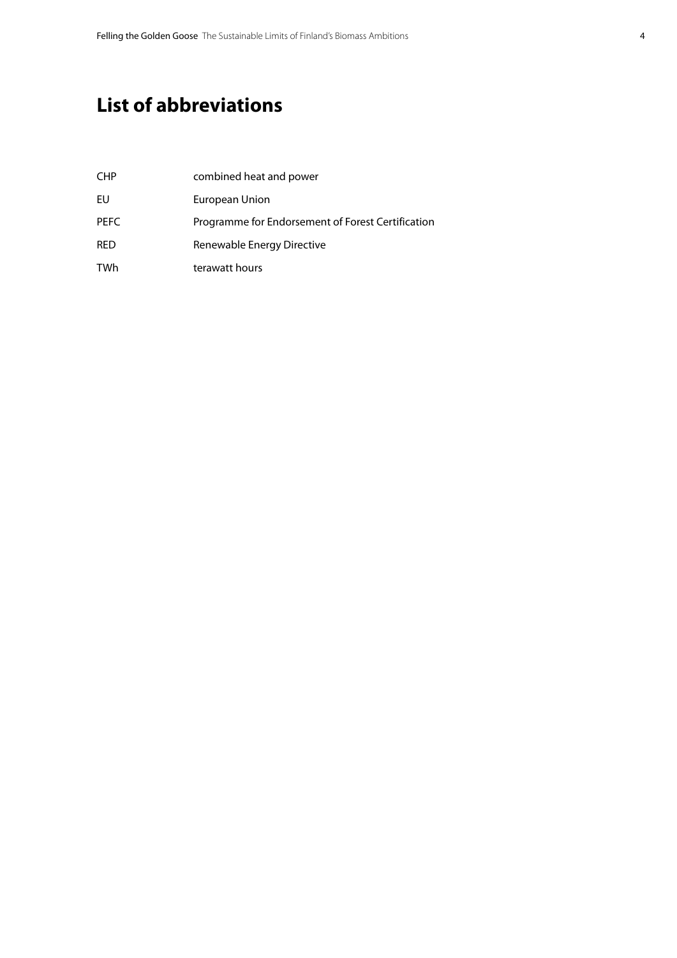## <span id="page-3-0"></span>**List of abbreviations**

| <b>CHP</b>  | combined heat and power                           |
|-------------|---------------------------------------------------|
| EU          | European Union                                    |
| <b>PEFC</b> | Programme for Endorsement of Forest Certification |
| RED         | Renewable Energy Directive                        |
| TWh         | terawatt hours                                    |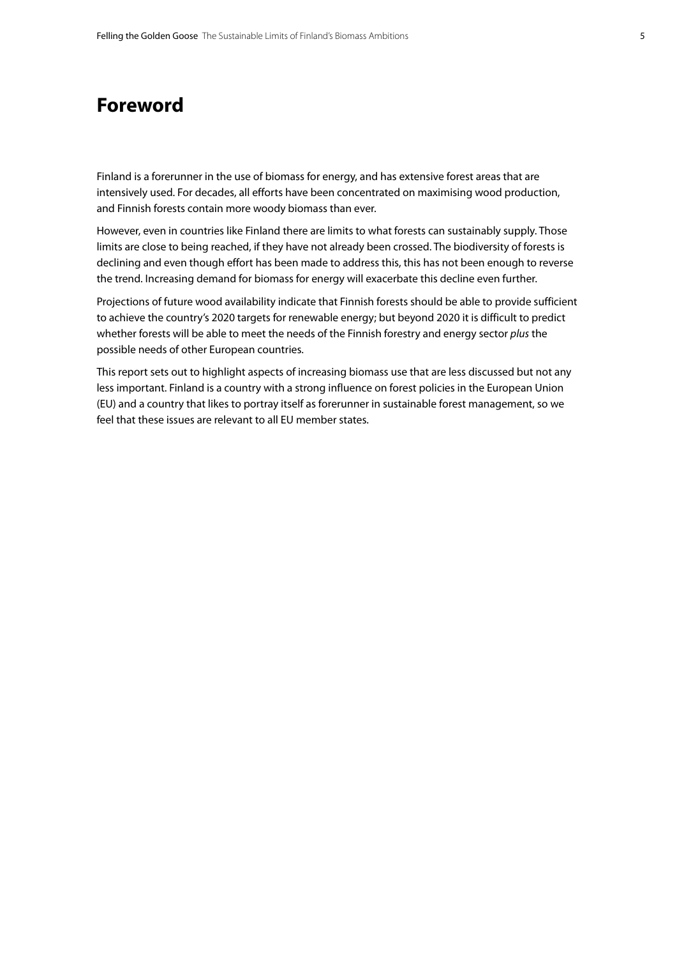### <span id="page-4-0"></span>**Foreword**

Finland is a forerunner in the use of biomass for energy, and has extensive forest areas that are intensively used. For decades, all efforts have been concentrated on maximising wood production, and Finnish forests contain more woody biomass than ever.

However, even in countries like Finland there are limits to what forests can sustainably supply. Those limits are close to being reached, if they have not already been crossed. The biodiversity of forests is declining and even though effort has been made to address this, this has not been enough to reverse the trend. Increasing demand for biomass for energy will exacerbate this decline even further.

Projections of future wood availability indicate that Finnish forests should be able to provide sufficient to achieve the country's 2020 targets for renewable energy; but beyond 2020 it is difficult to predict whether forests will be able to meet the needs of the Finnish forestry and energy sector *plus* the possible needs of other European countries.

This report sets out to highlight aspects of increasing biomass use that are less discussed but not any less important. Finland is a country with a strong influence on forest policies in the European Union (EU) and a country that likes to portray itself as forerunner in sustainable forest management, so we feel that these issues are relevant to all EU member states.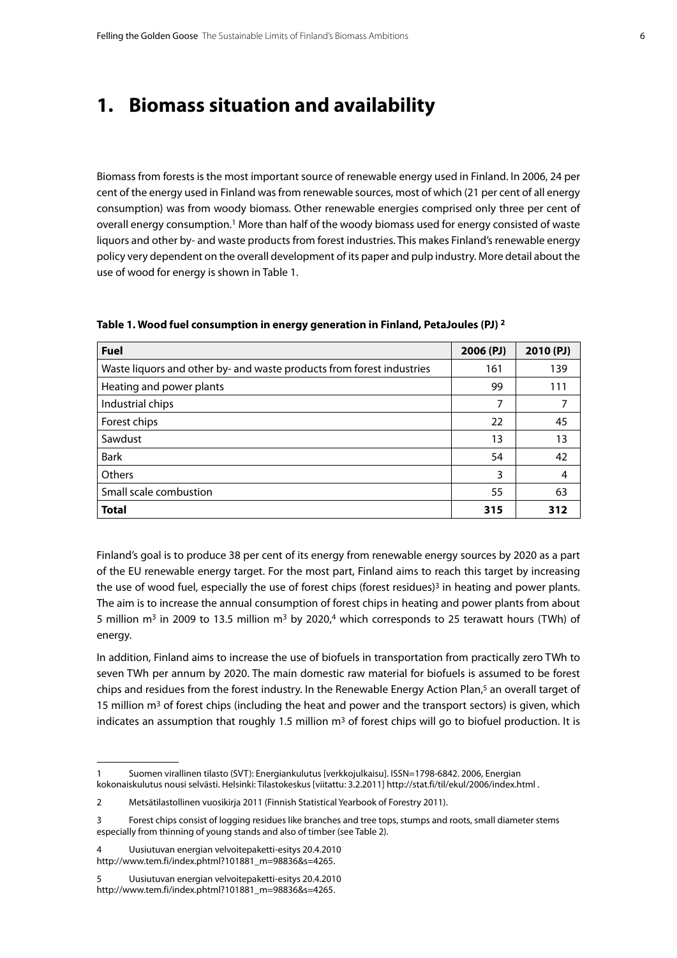### <span id="page-5-0"></span>**1. Biomass situation and availability**

Biomass from forests is the most important source of renewable energy used in Finland. In 2006, 24 per cent of the energy used in Finland was from renewable sources, most of which (21 per cent of all energy consumption) was from woody biomass. Other renewable energies comprised only three per cent of overall energy consumption.<sup>1</sup> More than half of the woody biomass used for energy consisted of waste liquors and other by- and waste products from forest industries. This makes Finland's renewable energy policy very dependent on the overall development of its paper and pulp industry. More detail about the use of wood for energy is shown in Table 1.

| <b>Fuel</b>                                                           |     | 2010(PJ) |
|-----------------------------------------------------------------------|-----|----------|
| Waste liquors and other by- and waste products from forest industries | 161 | 139      |
| Heating and power plants                                              | 99  | 111      |
| Industrial chips                                                      | 7   |          |
| Forest chips                                                          | 22  | 45       |
| Sawdust                                                               | 13  | 13       |
| <b>Bark</b>                                                           | 54  | 42       |
| Others                                                                | 3   | 4        |
| Small scale combustion                                                | 55  | 63       |
| <b>Total</b>                                                          | 315 | 312      |

**Table 1. Wood fuel consumption in energy generation in Finland, PetaJoules (PJ) 2**

Finland's goal is to produce 38 per cent of its energy from renewable energy sources by 2020 as a part of the EU renewable energy target. For the most part, Finland aims to reach this target by increasing the use of wood fuel, especially the use of forest chips (forest residues)<sup>3</sup> in heating and power plants. The aim is to increase the annual consumption of forest chips in heating and power plants from about 5 million m<sup>3</sup> in 2009 to 13.5 million m<sup>3</sup> by 2020,<sup>4</sup> which corresponds to 25 terawatt hours (TWh) of energy.

In addition, Finland aims to increase the use of biofuels in transportation from practically zero TWh to seven TWh per annum by 2020. The main domestic raw material for biofuels is assumed to be forest chips and residues from the forest industry. In the Renewable Energy Action Plan,<sup>5</sup> an overall target of 15 million  $m<sup>3</sup>$  of forest chips (including the heat and power and the transport sectors) is given, which indicates an assumption that roughly 1.5 million  $m<sup>3</sup>$  of forest chips will go to biofuel production. It is

<sup>1</sup> Suomen virallinen tilasto (SVT): Energiankulutus [verkkojulkaisu]. ISSN=1798-6842. 2006, Energian kokonaiskulutus nousi selvästi. Helsinki: Tilastokeskus [viitattu: 3.2.2011]<http://stat.fi/til/ekul/2006/index.html> .

<sup>2</sup> Metsätilastollinen vuosikirja 2011 (Finnish Statistical Yearbook of Forestry 2011).

<sup>3</sup> Forest chips consist of logging residues like branches and tree tops, stumps and roots, small diameter stems especially from thinning of young stands and also of timber (see Table 2).

<sup>4</sup> Uusiutuvan energian velvoitepaketti-esitys 20.4.2010 [http://www.tem.fi/index.phtml?101881\\_m=98836&s=4265.](http://www.tem.fi/index.phtml?101881_m=98836&s=4265.)

<sup>5</sup> Uusiutuvan energian velvoitepaketti-esitys 20.4.2010 [http://www.tem.fi/index.phtml?101881\\_m=98836&s=4265.](http://www.tem.fi/index.phtml?101881_m=98836&s=4265.)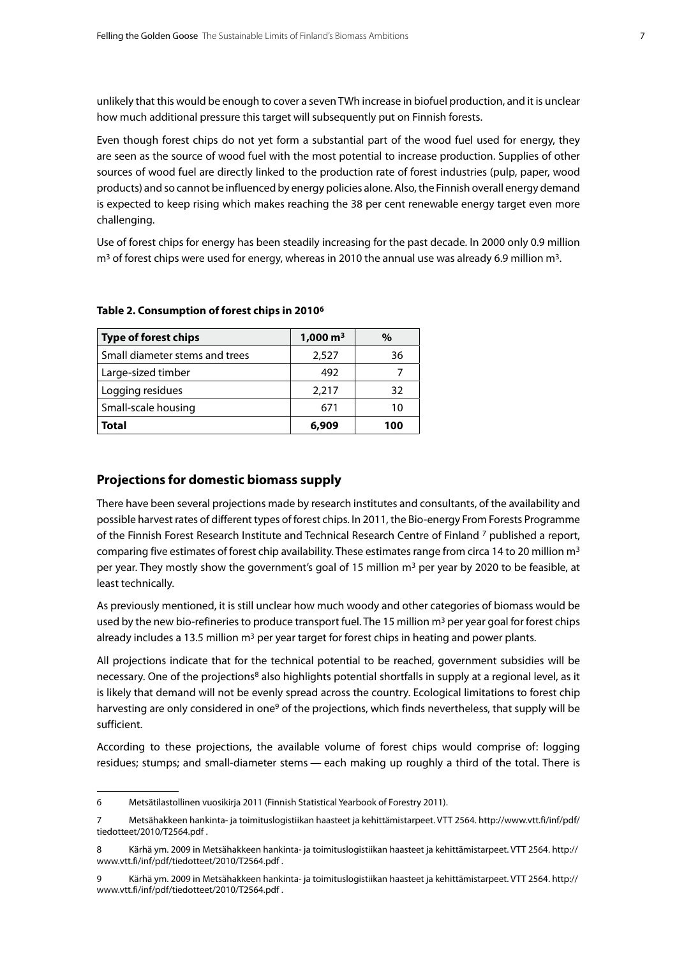<span id="page-6-0"></span>unlikely that this would be enough to cover a seven TWh increase in biofuel production, and it is unclear how much additional pressure this target will subsequently put on Finnish forests.

Even though forest chips do not yet form a substantial part of the wood fuel used for energy, they are seen as the source of wood fuel with the most potential to increase production. Supplies of other sources of wood fuel are directly linked to the production rate of forest industries (pulp, paper, wood products) and so cannot be influenced by energy policies alone. Also, the Finnish overall energy demand is expected to keep rising which makes reaching the 38 per cent renewable energy target even more challenging.

Use of forest chips for energy has been steadily increasing for the past decade. In 2000 only 0.9 million  $m<sup>3</sup>$  of forest chips were used for energy, whereas in 2010 the annual use was already 6.9 million  $m<sup>3</sup>$ .

| <b>Type of forest chips</b>    | $1,000 \text{ m}^3$ | %   |
|--------------------------------|---------------------|-----|
| Small diameter stems and trees | 2,527               | 36  |
| Large-sized timber             | 492                 |     |
| Logging residues               | 2,217               | 32  |
| Small-scale housing            | 671                 | 10  |
| Total                          | 6.909               | 100 |

#### **Table 2. Consumption of forest chips in 20106**

### **Projections for domestic biomass supply**

There have been several projections made by research institutes and consultants, of the availability and possible harvest rates of different types of forest chips. In 2011, the Bio-energy From Forests Programme of the Finnish Forest Research Institute and Technical Research Centre of Finland 7 published a report, comparing five estimates of forest chip availability. These estimates range from circa 14 to 20 million  $m<sup>3</sup>$ per year. They mostly show the government's goal of 15 million m<sup>3</sup> per year by 2020 to be feasible, at least technically.

As previously mentioned, it is still unclear how much woody and other categories of biomass would be used by the new bio-refineries to produce transport fuel. The 15 million  $m<sup>3</sup>$  per year goal for forest chips already includes a 13.5 million  $m<sup>3</sup>$  per year target for forest chips in heating and power plants.

All projections indicate that for the technical potential to be reached, government subsidies will be necessary. One of the projections<sup>8</sup> also highlights potential shortfalls in supply at a regional level, as it is likely that demand will not be evenly spread across the country. Ecological limitations to forest chip harvesting are only considered in one<sup>9</sup> of the projections, which finds nevertheless, that supply will be sufficient.

According to these projections, the available volume of forest chips would comprise of: logging residues; stumps; and small-diameter stems — each making up roughly a third of the total. There is

<sup>6</sup> Metsätilastollinen vuosikirja 2011 (Finnish Statistical Yearbook of Forestry 2011).

<sup>7</sup> Metsähakkeen hankinta- ja toimituslogistiikan haasteet ja kehittämistarpeet. VTT 2564. [http://www.vtt.fi/inf/pdf/](http://www.vtt.fi/inf/pdf/tiedotteet/2010/T2564.pdf) [tiedotteet/2010/T2564.pdf](http://www.vtt.fi/inf/pdf/tiedotteet/2010/T2564.pdf) .

<sup>8</sup> Kärhä ym. 2009 in Metsähakkeen hankinta- ja toimituslogistiikan haasteet ja kehittämistarpeet. VTT 2564. [http://](http://www.vtt.fi/inf/pdf/tiedotteet/2010/T2564.pdf) [www.vtt.fi/inf/pdf/tiedotteet/2010/T2564.pdf](http://www.vtt.fi/inf/pdf/tiedotteet/2010/T2564.pdf) .

<sup>9</sup> Kärhä ym. 2009 in Metsähakkeen hankinta- ja toimituslogistiikan haasteet ja kehittämistarpeet. VTT 2564. [http://](http://www.vtt.fi/inf/pdf/tiedotteet/2010/T2564.pdf) [www.vtt.fi/inf/pdf/tiedotteet/2010/T2564.pdf](http://www.vtt.fi/inf/pdf/tiedotteet/2010/T2564.pdf) .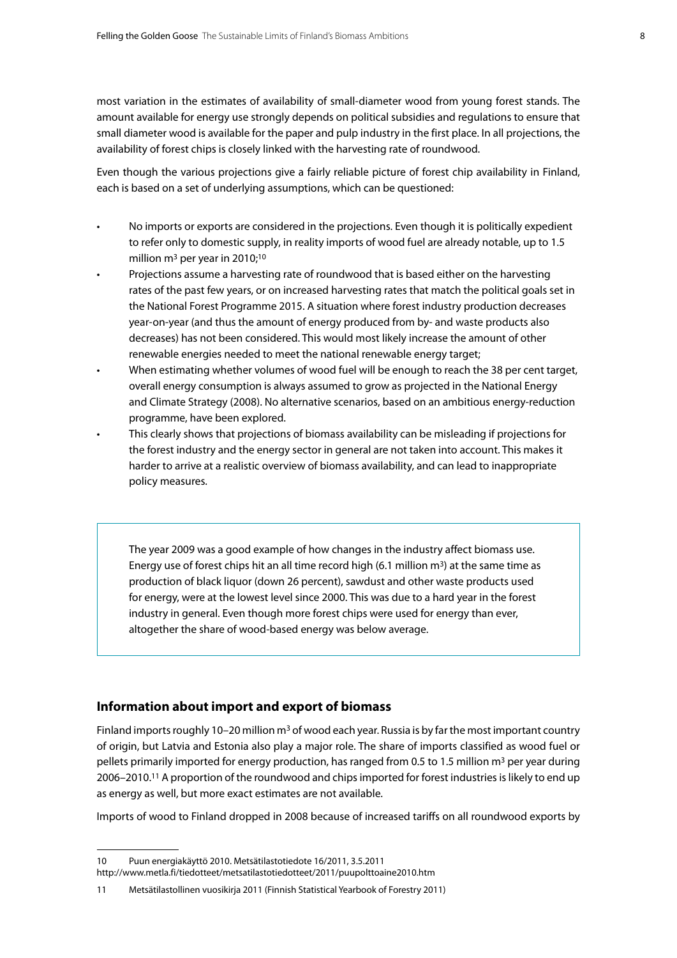most variation in the estimates of availability of small-diameter wood from young forest stands. The amount available for energy use strongly depends on political subsidies and regulations to ensure that small diameter wood is available for the paper and pulp industry in the first place. In all projections, the availability of forest chips is closely linked with the harvesting rate of roundwood.

Even though the various projections give a fairly reliable picture of forest chip availability in Finland, each is based on a set of underlying assumptions, which can be questioned:

- No imports or exports are considered in the projections. Even though it is politically expedient to refer only to domestic supply, in reality imports of wood fuel are already notable, up to 1.5 million  $m^3$  per year in 2010;<sup>10</sup>
- Projections assume a harvesting rate of roundwood that is based either on the harvesting rates of the past few years, or on increased harvesting rates that match the political goals set in the National Forest Programme 2015. A situation where forest industry production decreases year-on-year (and thus the amount of energy produced from by- and waste products also decreases) has not been considered. This would most likely increase the amount of other renewable energies needed to meet the national renewable energy target;
- When estimating whether volumes of wood fuel will be enough to reach the 38 per cent target, overall energy consumption is always assumed to grow as projected in the National Energy and Climate Strategy (2008). No alternative scenarios, based on an ambitious energy-reduction programme, have been explored.
- This clearly shows that projections of biomass availability can be misleading if projections for the forest industry and the energy sector in general are not taken into account. This makes it harder to arrive at a realistic overview of biomass availability, and can lead to inappropriate policy measures.

The year 2009 was a good example of how changes in the industry affect biomass use. Energy use of forest chips hit an all time record high (6.1 million m<sup>3</sup>) at the same time as production of black liquor (down 26 percent), sawdust and other waste products used for energy, were at the lowest level since 2000. This was due to a hard year in the forest industry in general. Even though more forest chips were used for energy than ever, altogether the share of wood-based energy was below average.

### **Information about import and export of biomass**

Finland imports roughly 10–20 million  $m<sup>3</sup>$  of wood each year. Russia is by far the most important country of origin, but Latvia and Estonia also play a major role. The share of imports classified as wood fuel or pellets primarily imported for energy production, has ranged from 0.5 to 1.5 million m<sup>3</sup> per year during 2006–2010.11 A proportion of the roundwood and chips imported for forest industries is likely to end up as energy as well, but more exact estimates are not available.

Imports of wood to Finland dropped in 2008 because of increased tariffs on all roundwood exports by

<sup>10</sup> Puun energiakäyttö 2010. Metsätilastotiedote 16/2011, 3.5.2011

<http://www.metla.fi/tiedotteet/metsatilastotiedotteet/2011/puupolttoaine2010.htm>

<sup>11</sup> Metsätilastollinen vuosikirja 2011 (Finnish Statistical Yearbook of Forestry 2011)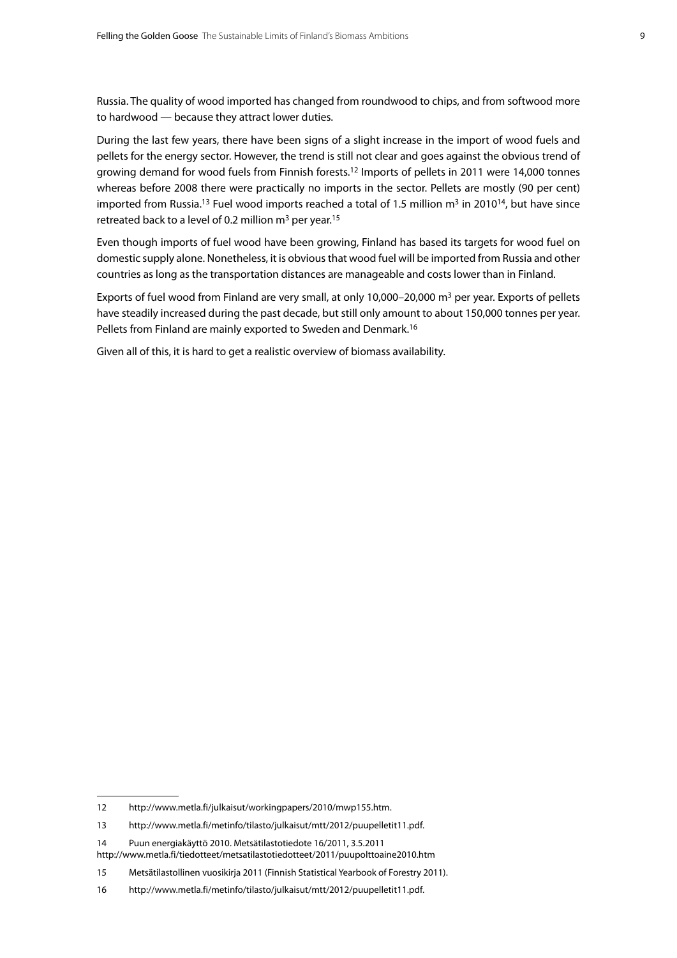Russia. The quality of wood imported has changed from roundwood to chips, and from softwood more to hardwood — because they attract lower duties.

During the last few years, there have been signs of a slight increase in the import of wood fuels and pellets for the energy sector. However, the trend is still not clear and goes against the obvious trend of growing demand for wood fuels from Finnish forests.12 Imports of pellets in 2011 were 14,000 tonnes whereas before 2008 there were practically no imports in the sector. Pellets are mostly (90 per cent) imported from Russia.<sup>13</sup> Fuel wood imports reached a total of 1.5 million  $m<sup>3</sup>$  in 2010<sup>14</sup>, but have since retreated back to a level of 0.2 million m<sup>3</sup> per year.<sup>15</sup>

Even though imports of fuel wood have been growing, Finland has based its targets for wood fuel on domestic supply alone. Nonetheless, it is obvious that wood fuel will be imported from Russia and other countries as long as the transportation distances are manageable and costs lower than in Finland.

Exports of fuel wood from Finland are very small, at only 10,000–20,000  $m<sup>3</sup>$  per year. Exports of pellets have steadily increased during the past decade, but still only amount to about 150,000 tonnes per year. Pellets from Finland are mainly exported to Sweden and Denmark.16

Given all of this, it is hard to get a realistic overview of biomass availability.

<sup>12</sup> [http://www.metla.fi/julkaisut/workingpapers/2010/mwp155.htm.](http://www.metla.fi/julkaisut/workingpapers/2010/mwp155.htm)

<sup>13</sup> [http://www.metla.fi/metinfo/tilasto/julkaisut/mtt/2012/puupelletit11.pdf.](http://www.metla.fi/metinfo/tilasto/julkaisut/mtt/2012/puupelletit11.pdf)

<sup>14</sup> Puun energiakäyttö 2010. Metsätilastotiedote 16/2011, 3.5.2011

<http://www.metla.fi/tiedotteet/metsatilastotiedotteet/2011/puupolttoaine2010.htm>

<sup>15</sup> Metsätilastollinen vuosikirja 2011 (Finnish Statistical Yearbook of Forestry 2011).

<sup>16</sup> [http://www.metla.fi/metinfo/tilasto/julkaisut/mtt/2012/puupelletit11.pdf.](http://www.metla.fi/metinfo/tilasto/julkaisut/mtt/2012/puupelletit11.pdf)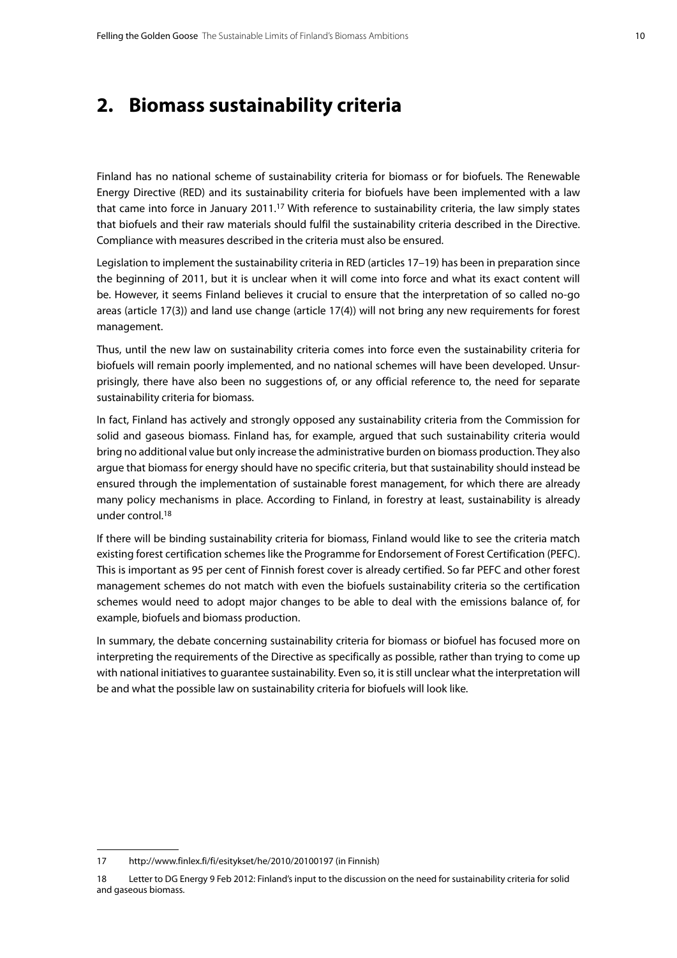### <span id="page-9-0"></span>**2. Biomass sustainability criteria**

Finland has no national scheme of sustainability criteria for biomass or for biofuels. The Renewable Energy Directive (RED) and its sustainability criteria for biofuels have been implemented with a law that came into force in January 2011.17 With reference to sustainability criteria, the law simply states that biofuels and their raw materials should fulfil the sustainability criteria described in the Directive. Compliance with measures described in the criteria must also be ensured.

Legislation to implement the sustainability criteria in RED (articles 17–19) has been in preparation since the beginning of 2011, but it is unclear when it will come into force and what its exact content will be. However, it seems Finland believes it crucial to ensure that the interpretation of so called no-go areas (article 17(3)) and land use change (article 17(4)) will not bring any new requirements for forest management.

Thus, until the new law on sustainability criteria comes into force even the sustainability criteria for biofuels will remain poorly implemented, and no national schemes will have been developed. Unsurprisingly, there have also been no suggestions of, or any official reference to, the need for separate sustainability criteria for biomass.

In fact, Finland has actively and strongly opposed any sustainability criteria from the Commission for solid and gaseous biomass. Finland has, for example, argued that such sustainability criteria would bring no additional value but only increase the administrative burden on biomass production. They also argue that biomass for energy should have no specific criteria, but that sustainability should instead be ensured through the implementation of sustainable forest management, for which there are already many policy mechanisms in place. According to Finland, in forestry at least, sustainability is already under control.18

If there will be binding sustainability criteria for biomass, Finland would like to see the criteria match existing forest certification schemes like the Programme for Endorsement of Forest Certification (PEFC). This is important as 95 per cent of Finnish forest cover is already certified. So far PEFC and other forest management schemes do not match with even the biofuels sustainability criteria so the certification schemes would need to adopt major changes to be able to deal with the emissions balance of, for example, biofuels and biomass production.

In summary, the debate concerning sustainability criteria for biomass or biofuel has focused more on interpreting the requirements of the Directive as specifically as possible, rather than trying to come up with national initiatives to guarantee sustainability. Even so, it is still unclear what the interpretation will be and what the possible law on sustainability criteria for biofuels will look like.

<sup>17</sup> <http://www.finlex.fi/fi/esitykset/he/2010/20100197> (in Finnish)

<sup>18</sup> Letter to DG Energy 9 Feb 2012: Finland's input to the discussion on the need for sustainability criteria for solid and gaseous biomass.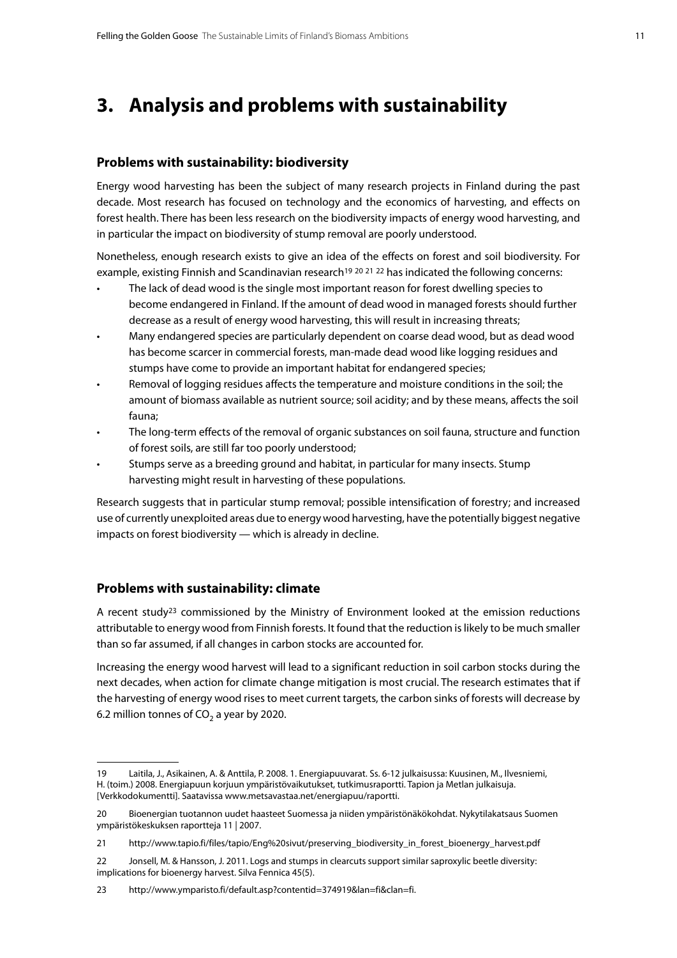### <span id="page-10-0"></span>**3. Analysis and problems with sustainability**

### **Problems with sustainability: biodiversity**

Energy wood harvesting has been the subject of many research projects in Finland during the past decade. Most research has focused on technology and the economics of harvesting, and effects on forest health. There has been less research on the biodiversity impacts of energy wood harvesting, and in particular the impact on biodiversity of stump removal are poorly understood.

Nonetheless, enough research exists to give an idea of the effects on forest and soil biodiversity. For example, existing Finnish and Scandinavian research<sup>19 20 21</sup> 22 has indicated the following concerns:

- The lack of dead wood is the single most important reason for forest dwelling species to become endangered in Finland. If the amount of dead wood in managed forests should further decrease as a result of energy wood harvesting, this will result in increasing threats;
- Many endangered species are particularly dependent on coarse dead wood, but as dead wood has become scarcer in commercial forests, man-made dead wood like logging residues and stumps have come to provide an important habitat for endangered species;
- Removal of logging residues affects the temperature and moisture conditions in the soil; the amount of biomass available as nutrient source; soil acidity; and by these means, affects the soil fauna;
- The long-term effects of the removal of organic substances on soil fauna, structure and function of forest soils, are still far too poorly understood;
- Stumps serve as a breeding ground and habitat, in particular for many insects. Stump harvesting might result in harvesting of these populations.

Research suggests that in particular stump removal; possible intensification of forestry; and increased use of currently unexploited areas due to energy wood harvesting, have the potentially biggest negative impacts on forest biodiversity — which is already in decline.

### **Problems with sustainability: climate**

A recent study<sup>23</sup> commissioned by the Ministry of Environment looked at the emission reductions attributable to energy wood from Finnish forests. It found that the reduction is likely to be much smaller than so far assumed, if all changes in carbon stocks are accounted for.

Increasing the energy wood harvest will lead to a significant reduction in soil carbon stocks during the next decades, when action for climate change mitigation is most crucial. The research estimates that if the harvesting of energy wood rises to meet current targets, the carbon sinks of forests will decrease by 6.2 million tonnes of  $CO<sub>2</sub>$  a year by 2020.

<sup>19</sup> Laitila, J., Asikainen, A. & Anttila, P. 2008. 1. Energiapuuvarat. Ss. 6-12 julkaisussa: Kuusinen, M., Ilvesniemi, H. (toim.) 2008. Energiapuun korjuun ympäristövaikutukset, tutkimusraportti. Tapion ja Metlan julkaisuja. [Verkkodokumentti]. Saatavissa [www.metsavastaa.net/energiapuu/raportti.](www.metsavastaa.net/energiapuu/raportti)

<sup>20</sup> Bioenergian tuotannon uudet haasteet Suomessa ja niiden ympäristönäkökohdat. Nykytilakatsaus Suomen ympäristökeskuksen raportteja 11 | 2007.

<sup>21</sup> [http://www.tapio.fi/files/tapio/Eng%](http://www.tapio.fi/files/tapio/Eng)20sivut[/preserving\\_biodiversity\\_in\\_forest\\_bioenergy\\_harvest.pdf](preserving_biodiversity_in_forest_bioenergy_harvest.pdf)

<sup>22</sup> Jonsell, M. & Hansson, J. 2011. Logs and stumps in clearcuts support similar saproxylic beetle diversity: implications for bioenergy harvest. Silva Fennica 45(5).

<sup>23</sup> <http://www.ymparisto.fi/default.asp?contentid=374919&lan=fi&clan=fi.>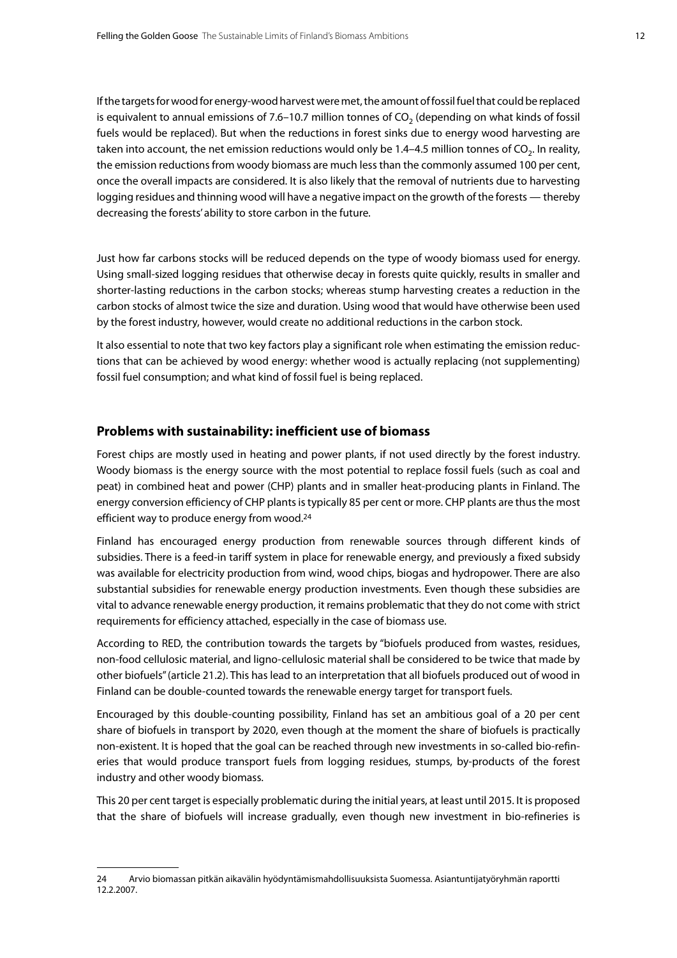If the targets for wood for energy-wood harvest were met, the amount of fossil fuel that could be replaced is equivalent to annual emissions of 7.6–10.7 million tonnes of  $CO<sub>2</sub>$  (depending on what kinds of fossil fuels would be replaced). But when the reductions in forest sinks due to energy wood harvesting are taken into account, the net emission reductions would only be  $1.4-4.5$  million tonnes of CO<sub>2</sub>. In reality, the emission reductions from woody biomass are much less than the commonly assumed 100 per cent, once the overall impacts are considered. It is also likely that the removal of nutrients due to harvesting logging residues and thinning wood will have a negative impact on the growth of the forests — thereby decreasing the forests' ability to store carbon in the future.

Just how far carbons stocks will be reduced depends on the type of woody biomass used for energy. Using small-sized logging residues that otherwise decay in forests quite quickly, results in smaller and shorter-lasting reductions in the carbon stocks; whereas stump harvesting creates a reduction in the carbon stocks of almost twice the size and duration. Using wood that would have otherwise been used by the forest industry, however, would create no additional reductions in the carbon stock.

It also essential to note that two key factors play a significant role when estimating the emission reductions that can be achieved by wood energy: whether wood is actually replacing (not supplementing) fossil fuel consumption; and what kind of fossil fuel is being replaced.

### **Problems with sustainability: inefficient use of biomass**

Forest chips are mostly used in heating and power plants, if not used directly by the forest industry. Woody biomass is the energy source with the most potential to replace fossil fuels (such as coal and peat) in combined heat and power (CHP) plants and in smaller heat-producing plants in Finland. The energy conversion efficiency of CHP plants is typically 85 per cent or more. CHP plants are thus the most efficient way to produce energy from wood.24

Finland has encouraged energy production from renewable sources through different kinds of subsidies. There is a feed-in tariff system in place for renewable energy, and previously a fixed subsidy was available for electricity production from wind, wood chips, biogas and hydropower. There are also substantial subsidies for renewable energy production investments. Even though these subsidies are vital to advance renewable energy production, it remains problematic that they do not come with strict requirements for efficiency attached, especially in the case of biomass use.

According to RED, the contribution towards the targets by "biofuels produced from wastes, residues, non-food cellulosic material, and ligno-cellulosic material shall be considered to be twice that made by other biofuels" (article 21.2). This has lead to an interpretation that all biofuels produced out of wood in Finland can be double-counted towards the renewable energy target for transport fuels.

Encouraged by this double-counting possibility, Finland has set an ambitious goal of a 20 per cent share of biofuels in transport by 2020, even though at the moment the share of biofuels is practically non-existent. It is hoped that the goal can be reached through new investments in so-called bio-refineries that would produce transport fuels from logging residues, stumps, by-products of the forest industry and other woody biomass.

This 20 per cent target is especially problematic during the initial years, at least until 2015. It is proposed that the share of biofuels will increase gradually, even though new investment in bio-refineries is

<sup>24</sup> Arvio biomassan pitkän aikavälin hyödyntämismahdollisuuksista Suomessa. Asiantuntijatyöryhmän raportti 12.2.2007.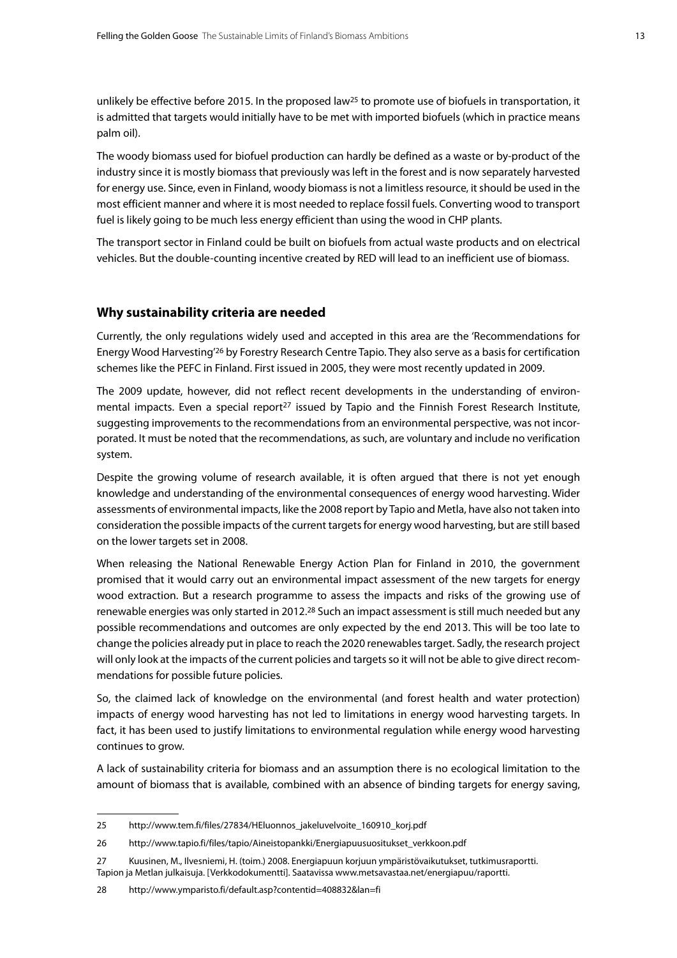unlikely be effective before 2015. In the proposed law<sup>25</sup> to promote use of biofuels in transportation, it is admitted that targets would initially have to be met with imported biofuels (which in practice means palm oil).

The woody biomass used for biofuel production can hardly be defined as a waste or by-product of the industry since it is mostly biomass that previously was left in the forest and is now separately harvested for energy use. Since, even in Finland, woody biomass is not a limitless resource, it should be used in the most efficient manner and where it is most needed to replace fossil fuels. Converting wood to transport fuel is likely going to be much less energy efficient than using the wood in CHP plants.

The transport sector in Finland could be built on biofuels from actual waste products and on electrical vehicles. But the double-counting incentive created by RED will lead to an inefficient use of biomass.

#### **Why sustainability criteria are needed**

Currently, the only regulations widely used and accepted in this area are the 'Recommendations for Energy Wood Harvesting'26 by Forestry Research Centre Tapio. They also serve as a basis for certification schemes like the PEFC in Finland. First issued in 2005, they were most recently updated in 2009.

The 2009 update, however, did not reflect recent developments in the understanding of environmental impacts. Even a special report<sup>27</sup> issued by Tapio and the Finnish Forest Research Institute, suggesting improvements to the recommendations from an environmental perspective, was not incorporated. It must be noted that the recommendations, as such, are voluntary and include no verification system.

Despite the growing volume of research available, it is often argued that there is not yet enough knowledge and understanding of the environmental consequences of energy wood harvesting. Wider assessments of environmental impacts, like the 2008 report by Tapio and Metla, have also not taken into consideration the possible impacts of the current targets for energy wood harvesting, but are still based on the lower targets set in 2008.

When releasing the National Renewable Energy Action Plan for Finland in 2010, the government promised that it would carry out an environmental impact assessment of the new targets for energy wood extraction. But a research programme to assess the impacts and risks of the growing use of renewable energies was only started in 2012.<sup>28</sup> Such an impact assessment is still much needed but any possible recommendations and outcomes are only expected by the end 2013. This will be too late to change the policies already put in place to reach the 2020 renewables target. Sadly, the research project will only look at the impacts of the current policies and targets so it will not be able to give direct recommendations for possible future policies.

So, the claimed lack of knowledge on the environmental (and forest health and water protection) impacts of energy wood harvesting has not led to limitations in energy wood harvesting targets. In fact, it has been used to justify limitations to environmental regulation while energy wood harvesting continues to grow.

A lack of sustainability criteria for biomass and an assumption there is no ecological limitation to the amount of biomass that is available, combined with an absence of binding targets for energy saving,

<sup>25</sup> [http://www.tem.fi/files/27834/HEluonnos\\_jakeluvelvoite\\_160910\\_korj.pdf](http://www.tem.fi/files/27834/HEluonnos_jakeluvelvoite_160910_korj.pdf)

<sup>26</sup> [http://www.tapio.fi/files/tapio/Aineistopankki/Energiapuusuositukset\\_verkkoon.pdf](http://www.tapio.fi/files/tapio/Aineistopankki/Energiapuusuositukset_verkkoon.pdf)

<sup>27</sup> Kuusinen, M., Ilvesniemi, H. (toim.) 2008. Energiapuun korjuun ympäristövaikutukset, tutkimusraportti. Tapion ja Metlan julkaisuja. [Verkkodokumentti]. Saatavissa [www.metsavastaa.net/energiapuu/raportti.](www.metsavastaa.net/energiapuu/raportti)

<sup>28</sup> <http://www.ymparisto.fi/default.asp?contentid=408832&lan=fi>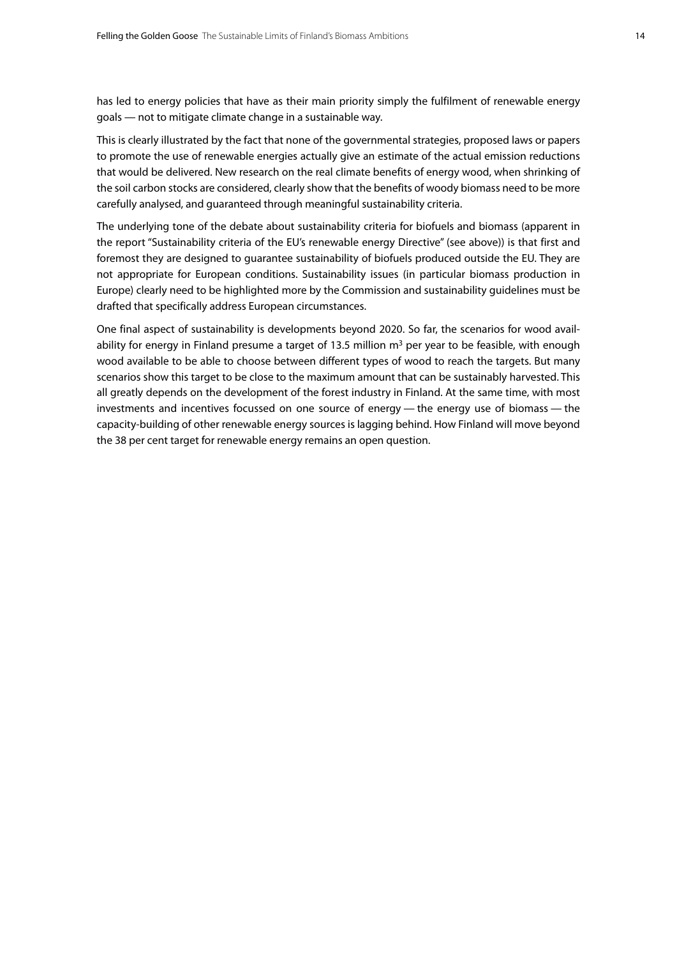has led to energy policies that have as their main priority simply the fulfilment of renewable energy goals — not to mitigate climate change in a sustainable way.

This is clearly illustrated by the fact that none of the governmental strategies, proposed laws or papers to promote the use of renewable energies actually give an estimate of the actual emission reductions that would be delivered. New research on the real climate benefits of energy wood, when shrinking of the soil carbon stocks are considered, clearly show that the benefits of woody biomass need to be more carefully analysed, and guaranteed through meaningful sustainability criteria.

The underlying tone of the debate about sustainability criteria for biofuels and biomass (apparent in the report "Sustainability criteria of the EU's renewable energy Directive" (see above)) is that first and foremost they are designed to guarantee sustainability of biofuels produced outside the EU. They are not appropriate for European conditions. Sustainability issues (in particular biomass production in Europe) clearly need to be highlighted more by the Commission and sustainability guidelines must be drafted that specifically address European circumstances.

One final aspect of sustainability is developments beyond 2020. So far, the scenarios for wood availability for energy in Finland presume a target of 13.5 million  $m<sup>3</sup>$  per year to be feasible, with enough wood available to be able to choose between different types of wood to reach the targets. But many scenarios show this target to be close to the maximum amount that can be sustainably harvested. This all greatly depends on the development of the forest industry in Finland. At the same time, with most investments and incentives focussed on one source of energy — the energy use of biomass — the capacity-building of other renewable energy sources is lagging behind. How Finland will move beyond the 38 per cent target for renewable energy remains an open question.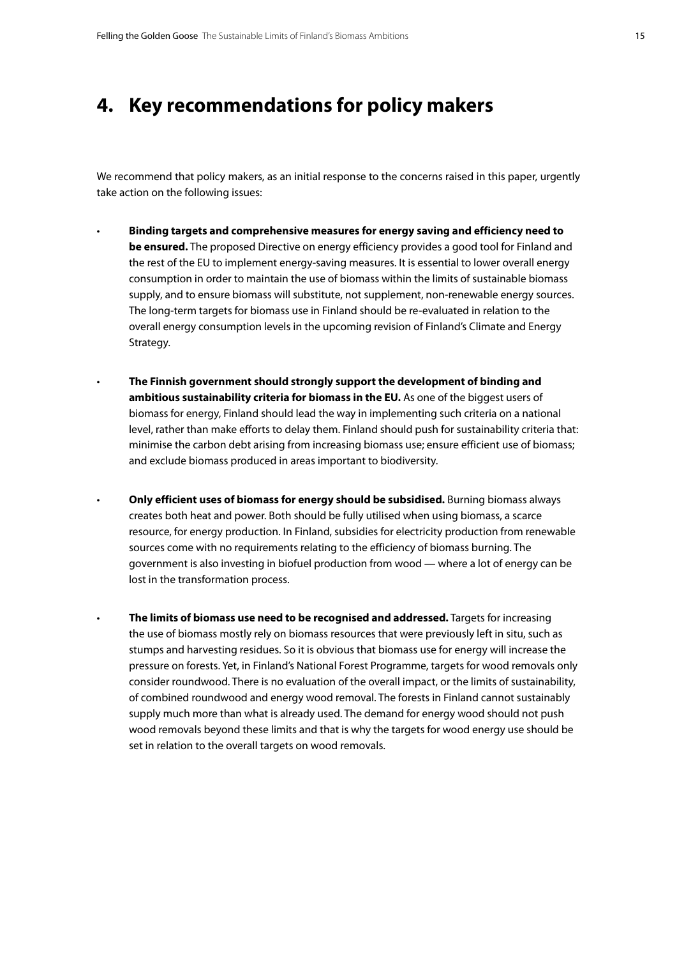### <span id="page-14-0"></span>**4. Key recommendations for policy makers**

We recommend that policy makers, as an initial response to the concerns raised in this paper, urgently take action on the following issues:

- • **Binding targets and comprehensive measures for energy saving and efficiency need to be ensured.** The proposed Directive on energy efficiency provides a good tool for Finland and the rest of the EU to implement energy-saving measures. It is essential to lower overall energy consumption in order to maintain the use of biomass within the limits of sustainable biomass supply, and to ensure biomass will substitute, not supplement, non-renewable energy sources. The long-term targets for biomass use in Finland should be re-evaluated in relation to the overall energy consumption levels in the upcoming revision of Finland's Climate and Energy Strategy.
	- The Finnish government should strongly support the development of binding and **ambitious sustainability criteria for biomass in the EU.** As one of the biggest users of biomass for energy, Finland should lead the way in implementing such criteria on a national level, rather than make efforts to delay them. Finland should push for sustainability criteria that: minimise the carbon debt arising from increasing biomass use; ensure efficient use of biomass; and exclude biomass produced in areas important to biodiversity.
		- • **Only efficient uses of biomass for energy should be subsidised.** Burning biomass always creates both heat and power. Both should be fully utilised when using biomass, a scarce resource, for energy production. In Finland, subsidies for electricity production from renewable sources come with no requirements relating to the efficiency of biomass burning. The government is also investing in biofuel production from wood — where a lot of energy can be lost in the transformation process.
		- **The limits of biomass use need to be recognised and addressed.** Targets for increasing the use of biomass mostly rely on biomass resources that were previously left in situ, such as stumps and harvesting residues. So it is obvious that biomass use for energy will increase the pressure on forests. Yet, in Finland's National Forest Programme, targets for wood removals only consider roundwood. There is no evaluation of the overall impact, or the limits of sustainability, of combined roundwood and energy wood removal. The forests in Finland cannot sustainably supply much more than what is already used. The demand for energy wood should not push wood removals beyond these limits and that is why the targets for wood energy use should be set in relation to the overall targets on wood removals.